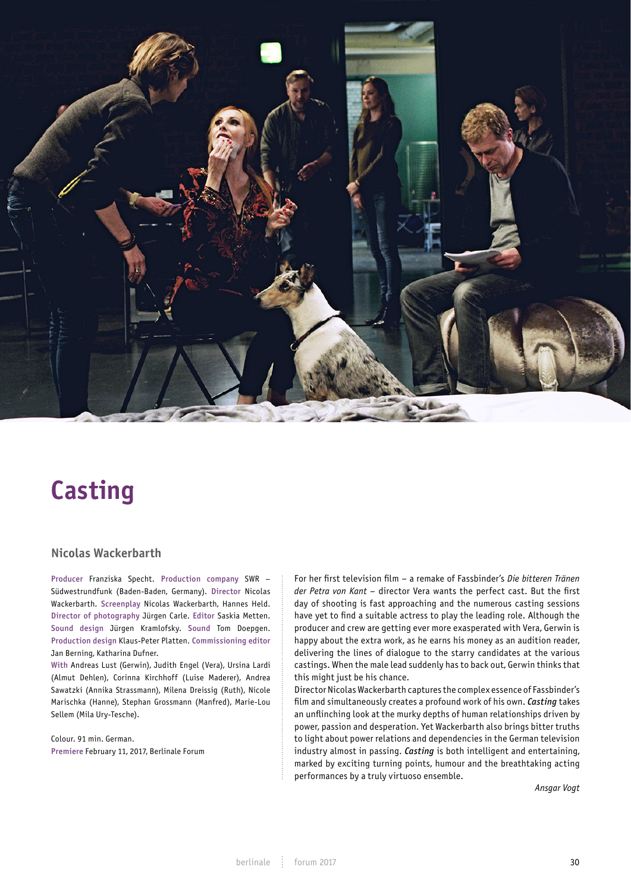

# **Casting**

## **Nicolas Wackerbarth**

Producer Franziska Specht. Production company SWR – Südwestrundfunk (Baden-Baden, Germany). Director Nicolas Wackerbarth. Screenplay Nicolas Wackerbarth, Hannes Held. Director of photography Jürgen Carle. Editor Saskia Metten. Sound design Jürgen Kramlofsky. Sound Tom Doepgen. Production design Klaus-Peter Platten. Commissioning editor Jan Berning, Katharina Dufner.

With Andreas Lust (Gerwin), Judith Engel (Vera), Ursina Lardi (Almut Dehlen), Corinna Kirchhoff (Luise Maderer), Andrea Sawatzki (Annika Strassmann), Milena Dreissig (Ruth), Nicole Marischka (Hanne), Stephan Grossmann (Manfred), Marie-Lou Sellem (Mila Ury-Tesche).

Colour. 91 min. German. Premiere February 11, 2017, Berlinale Forum For her first television film – a remake of Fassbinder's *Die bitteren Tränen der Petra von Kant* – director Vera wants the perfect cast. But the first day of shooting is fast approaching and the numerous casting sessions have yet to find a suitable actress to play the leading role. Although the producer and crew are getting ever more exasperated with Vera, Gerwin is happy about the extra work, as he earns his money as an audition reader, delivering the lines of dialogue to the starry candidates at the various castings. When the male lead suddenly has to back out, Gerwin thinks that this might just be his chance.

Director Nicolas Wackerbarth captures the complex essence of Fassbinder's film and simultaneously creates a profound work of his own. *Casting* takes an unflinching look at the murky depths of human relationships driven by power, passion and desperation. Yet Wackerbarth also brings bitter truths to light about power relations and dependencies in the German television industry almost in passing. *Casting* is both intelligent and entertaining, marked by exciting turning points, humour and the breathtaking acting performances by a truly virtuoso ensemble.

*Ansgar Vogt*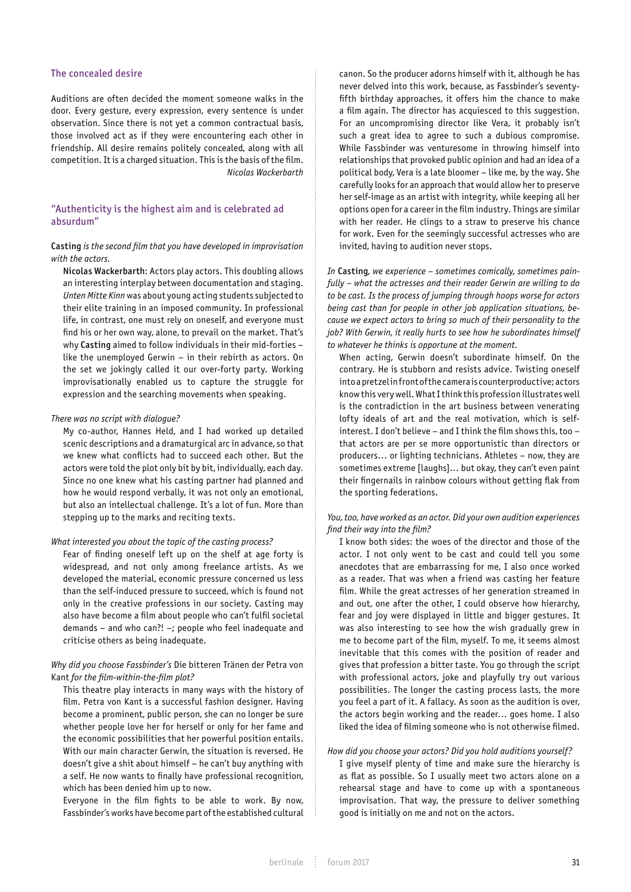## The concealed desire

Auditions are often decided the moment someone walks in the door. Every gesture, every expression, every sentence is under observation. Since there is not yet a common contractual basis, those involved act as if they were encountering each other in friendship. All desire remains politely concealed, along with all competition. It is a charged situation. This is the basis of the film. *Nicolas Wackerbarth*

## "Authenticity is the highest aim and is celebrated ad absurdum"

## Casting *is the second film that you have developed in improvisation with the actors.*

Nicolas Wackerbarth: Actors play actors. This doubling allows an interesting interplay between documentation and staging. *Unten Mitte Kinn* was about young acting students subjected to their elite training in an imposed community. In professional life, in contrast, one must rely on oneself, and everyone must find his or her own way, alone, to prevail on the market. That's why Casting aimed to follow individuals in their mid-forties – like the unemployed Gerwin – in their rebirth as actors. On the set we jokingly called it our over-forty party. Working improvisationally enabled us to capture the struggle for expression and the searching movements when speaking.

#### *There was no script with dialogue?*

My co-author, Hannes Held, and I had worked up detailed scenic descriptions and a dramaturgical arc in advance, so that we knew what conflicts had to succeed each other. But the actors were told the plot only bit by bit, individually, each day. Since no one knew what his casting partner had planned and how he would respond verbally, it was not only an emotional, but also an intellectual challenge. It's a lot of fun. More than stepping up to the marks and reciting texts.

#### *What interested you about the topic of the casting process?*

Fear of finding oneself left up on the shelf at age forty is widespread, and not only among freelance artists. As we developed the material, economic pressure concerned us less than the self-induced pressure to succeed, which is found not only in the creative professions in our society. Casting may also have become a film about people who can't fulfil societal demands – and who can?! –; people who feel inadequate and criticise others as being inadequate.

### *Why did you choose Fassbinder's* Die bitteren Tränen der Petra von Kant *for the film-within-the-film plot?*

This theatre play interacts in many ways with the history of film. Petra von Kant is a successful fashion designer. Having become a prominent, public person, she can no longer be sure whether people love her for herself or only for her fame and the economic possibilities that her powerful position entails. With our main character Gerwin, the situation is reversed. He doesn't give a shit about himself – he can't buy anything with a self. He now wants to finally have professional recognition, which has been denied him up to now.

Everyone in the film fights to be able to work. By now, Fassbinder's works have become part of the established cultural canon. So the producer adorns himself with it, although he has never delved into this work, because, as Fassbinder's seventyfifth birthday approaches, it offers him the chance to make a film again. The director has acquiesced to this suggestion. For an uncompromising director like Vera, it probably isn't such a great idea to agree to such a dubious compromise. While Fassbinder was venturesome in throwing himself into relationships that provoked public opinion and had an idea of a political body, Vera is a late bloomer – like me, by the way. She carefully looks for an approach that would allow her to preserve her self-image as an artist with integrity, while keeping all her options open for a career in the film industry. Things are similar with her reader. He clings to a straw to preserve his chance for work. Even for the seemingly successful actresses who are invited, having to audition never stops.

*In* Casting*, we experience – sometimes comically, sometimes painfully – what the actresses and their reader Gerwin are willing to do to be cast. Is the process of jumping through hoops worse for actors being cast than for people in other job application situations, because we expect actors to bring so much of their personality to the job? With Gerwin, it really hurts to see how he subordinates himself to whatever he thinks is opportune at the moment.*

When acting, Gerwin doesn't subordinate himself. On the contrary. He is stubborn and resists advice. Twisting oneself into a pretzel in front of the camera is counterproductive; actors know this very well. What I think this profession illustrates well is the contradiction in the art business between venerating lofty ideals of art and the real motivation, which is selfinterest. I don't believe – and I think the film shows this, too – that actors are per se more opportunistic than directors or producers… or lighting technicians. Athletes – now, they are sometimes extreme [laughs]… but okay, they can't even paint their fingernails in rainbow colours without getting flak from the sporting federations.

## *You, too, have worked as an actor. Did your own audition experiences find their way into the film?*

I know both sides: the woes of the director and those of the actor. I not only went to be cast and could tell you some anecdotes that are embarrassing for me, I also once worked as a reader. That was when a friend was casting her feature film. While the great actresses of her generation streamed in and out, one after the other, I could observe how hierarchy, fear and joy were displayed in little and bigger gestures. It was also interesting to see how the wish gradually grew in me to become part of the film, myself. To me, it seems almost inevitable that this comes with the position of reader and gives that profession a bitter taste. You go through the script with professional actors, joke and playfully try out various possibilities. The longer the casting process lasts, the more you feel a part of it. A fallacy. As soon as the audition is over, the actors begin working and the reader… goes home. I also liked the idea of filming someone who is not otherwise filmed.

#### *How did you choose your actors? Did you hold auditions yourself?*

I give myself plenty of time and make sure the hierarchy is as flat as possible. So I usually meet two actors alone on a rehearsal stage and have to come up with a spontaneous improvisation. That way, the pressure to deliver something good is initially on me and not on the actors.